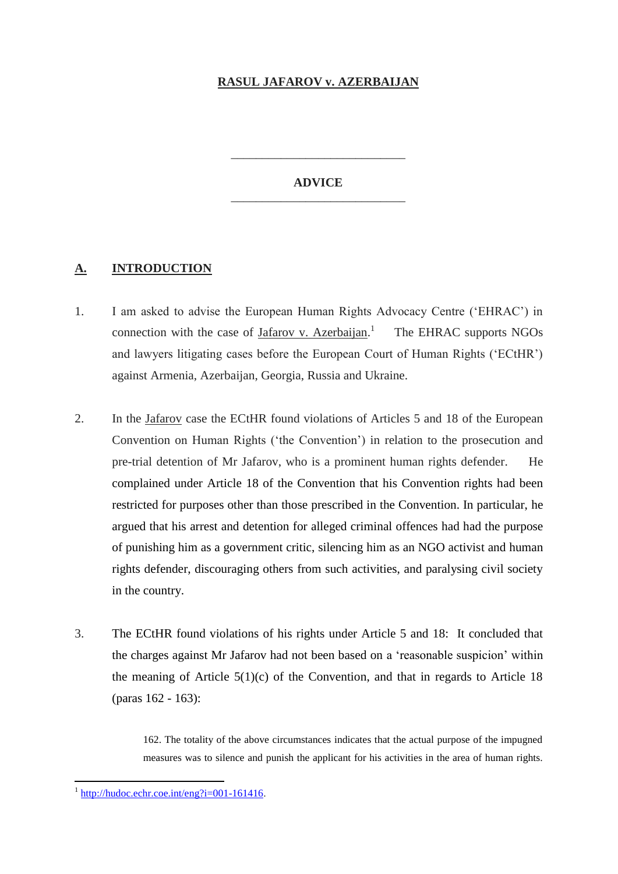# **RASUL JAFAROV v. AZERBAIJAN**

### **ADVICE** \_\_\_\_\_\_\_\_\_\_\_\_\_\_\_\_\_\_\_\_\_\_\_\_\_\_\_\_

\_\_\_\_\_\_\_\_\_\_\_\_\_\_\_\_\_\_\_\_\_\_\_\_\_\_\_\_

#### **A. INTRODUCTION**

- 1. I am asked to advise the European Human Rights Advocacy Centre ('EHRAC') in connection with the case of Jafarov v. Azerbaijan.<sup>1</sup> The EHRAC supports NGOs and lawyers litigating cases before the European Court of Human Rights ('ECtHR') against Armenia, Azerbaijan, Georgia, Russia and Ukraine.
- 2. In the Jafarov case the ECtHR found violations of Articles 5 and 18 of the European Convention on Human Rights ('the Convention') in relation to the prosecution and pre-trial detention of Mr Jafarov, who is a prominent human rights defender. He complained under Article 18 of the Convention that his Convention rights had been restricted for purposes other than those prescribed in the Convention. In particular, he argued that his arrest and detention for alleged criminal offences had had the purpose of punishing him as a government critic, silencing him as an NGO activist and human rights defender, discouraging others from such activities, and paralysing civil society in the country.
- 3. The ECtHR found violations of his rights under Article 5 and 18: It concluded that the charges against Mr Jafarov had not been based on a 'reasonable suspicion' within the meaning of Article  $5(1)(c)$  of the Convention, and that in regards to Article 18 (paras 162 - 163):

162. The totality of the above circumstances indicates that the actual purpose of the impugned measures was to silence and punish the applicant for his activities in the area of human rights.

 $\frac{1 \text{ http://hudoc.echr.coe.int/eng?i=001-161416.}}{$  $\frac{1 \text{ http://hudoc.echr.coe.int/eng?i=001-161416.}}{$  $\frac{1 \text{ http://hudoc.echr.coe.int/eng?i=001-161416.}}{$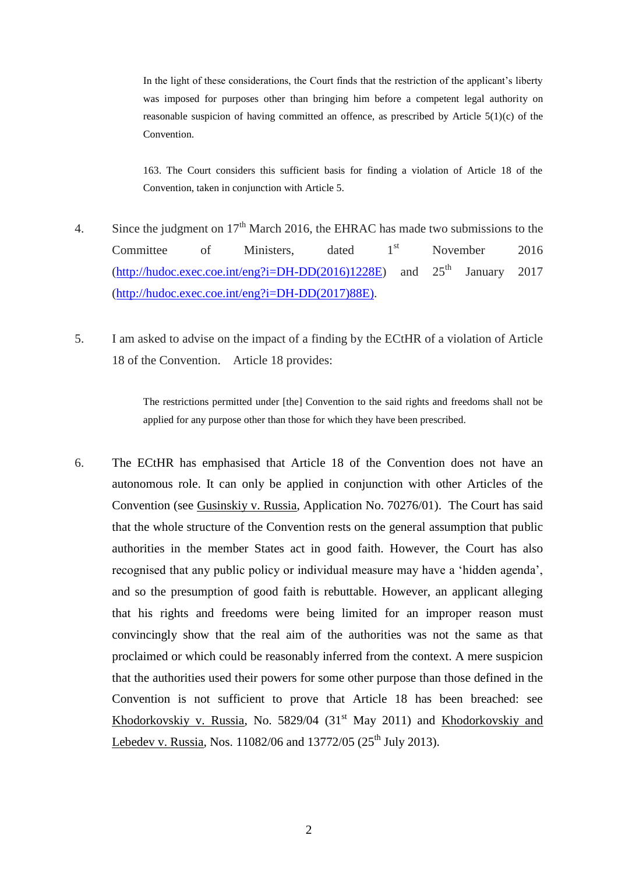In the light of these considerations, the Court finds that the restriction of the applicant's liberty was imposed for purposes other than bringing him before a competent legal authority on reasonable suspicion of having committed an offence, as prescribed by Article  $5(1)(c)$  of the Convention.

163. The Court considers this sufficient basis for finding a violation of Article 18 of the Convention, taken in conjunction with Article 5.

- 4. Since the judgment on  $17<sup>th</sup>$  March 2016, the EHRAC has made two submissions to the Committee of Ministers, dated  $1<sup>st</sup>$  November 2016  $(http://hudoc.exec.coe.int/eng?i=DH-DD(2016)1228E)$  and  $25<sup>th</sup>$  January 2017 [\(http://hudoc.exec.coe.int/eng?i=DH-DD\(2017\)88E\).](http://hudoc.exec.coe.int/eng?i=DH-DD(2017)88E))
- 5. I am asked to advise on the impact of a finding by the ECtHR of a violation of Article 18 of the Convention. Article 18 provides:

The restrictions permitted under [the] Convention to the said rights and freedoms shall not be applied for any purpose other than those for which they have been prescribed.

6. The ECtHR has emphasised that Article 18 of the Convention does not have an autonomous role. It can only be applied in conjunction with other Articles of the Convention (see Gusinskiy v. Russia, Application No. 70276/01). The Court has said that the whole structure of the Convention rests on the general assumption that public authorities in the member States act in good faith. However, the Court has also recognised that any public policy or individual measure may have a 'hidden agenda', and so the presumption of good faith is rebuttable. However, an applicant alleging that his rights and freedoms were being limited for an improper reason must convincingly show that the real aim of the authorities was not the same as that proclaimed or which could be reasonably inferred from the context. A mere suspicion that the authorities used their powers for some other purpose than those defined in the Convention is not sufficient to prove that Article 18 has been breached: see Khodorkovskiy v. Russia, No. 5829/04 (31<sup>st</sup> May 2011) and Khodorkovskiy and Lebedev v. Russia, Nos. 11082/06 and 13772/05 ( $25<sup>th</sup>$  July 2013).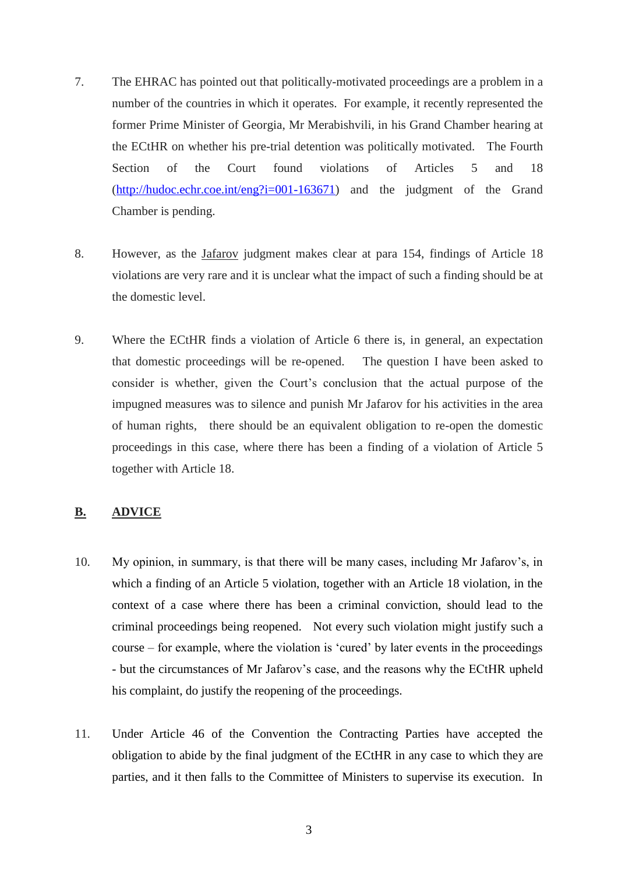- 7. The EHRAC has pointed out that politically-motivated proceedings are a problem in a number of the countries in which it operates. For example, it recently represented the former Prime Minister of Georgia, Mr Merabishvili, in his Grand Chamber hearing at the ECtHR on whether his pre-trial detention was politically motivated. The Fourth Section of the Court found violations of Articles 5 and 18 [\(http://hudoc.echr.coe.int/eng?i=001-163671\)](https://protect-eu.mimecast.com/s/WDEVBT89gkIo) and the judgment of the Grand Chamber is pending.
- 8. However, as the Jafarov judgment makes clear at para 154, findings of Article 18 violations are very rare and it is unclear what the impact of such a finding should be at the domestic level.
- 9. Where the ECtHR finds a violation of Article 6 there is, in general, an expectation that domestic proceedings will be re-opened. The question I have been asked to consider is whether, given the Court's conclusion that the actual purpose of the impugned measures was to silence and punish Mr Jafarov for his activities in the area of human rights, there should be an equivalent obligation to re-open the domestic proceedings in this case, where there has been a finding of a violation of Article 5 together with Article 18.

# **B. ADVICE**

- 10. My opinion, in summary, is that there will be many cases, including Mr Jafarov's, in which a finding of an Article 5 violation, together with an Article 18 violation, in the context of a case where there has been a criminal conviction, should lead to the criminal proceedings being reopened. Not every such violation might justify such a course – for example, where the violation is 'cured' by later events in the proceedings - but the circumstances of Mr Jafarov's case, and the reasons why the ECtHR upheld his complaint, do justify the reopening of the proceedings.
- 11. Under Article 46 of the Convention the Contracting Parties have accepted the obligation to abide by the final judgment of the ECtHR in any case to which they are parties, and it then falls to the Committee of Ministers to supervise its execution. In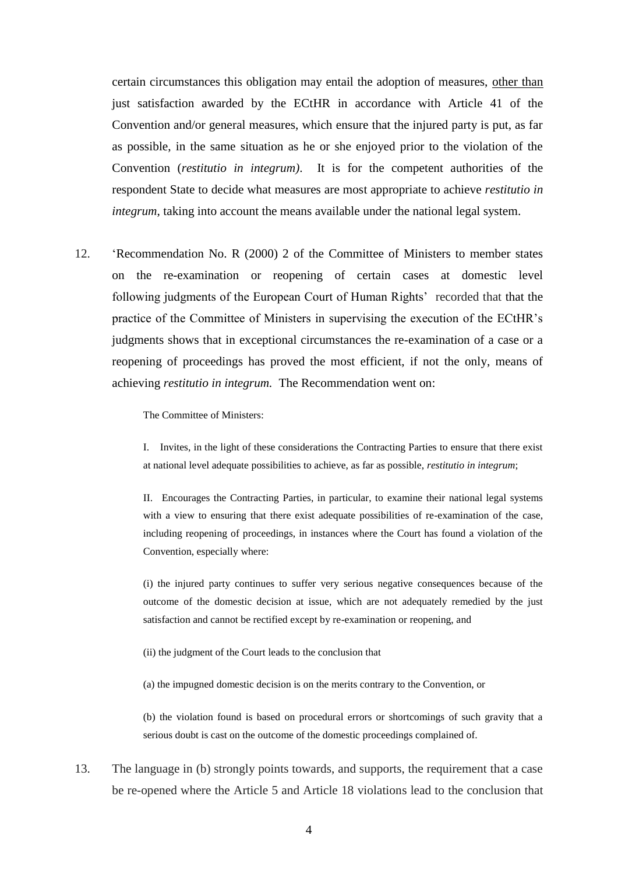certain circumstances this obligation may entail the adoption of measures, other than just satisfaction awarded by the ECtHR in accordance with Article 41 of the Convention and/or general measures, which ensure that the injured party is put, as far as possible, in the same situation as he or she enjoyed prior to the violation of the Convention (*restitutio in integrum)*. It is for the competent authorities of the respondent State to decide what measures are most appropriate to achieve *restitutio in integrum*, taking into account the means available under the national legal system.

12. 'Recommendation No. R (2000) 2 of the Committee of Ministers to member states on the re-examination or reopening of certain cases at domestic level following judgments of the European Court of Human Rights' recorded that that the practice of the Committee of Ministers in supervising the execution of the ECtHR's judgments shows that in exceptional circumstances the re-examination of a case or a reopening of proceedings has proved the most efficient, if not the only, means of achieving *restitutio in integrum.* The Recommendation went on:

The Committee of Ministers:

I. Invites, in the light of these considerations the Contracting Parties to ensure that there exist at national level adequate possibilities to achieve, as far as possible, *restitutio in integrum*;

II. Encourages the Contracting Parties, in particular, to examine their national legal systems with a view to ensuring that there exist adequate possibilities of re-examination of the case, including reopening of proceedings, in instances where the Court has found a violation of the Convention, especially where:

(i) the injured party continues to suffer very serious negative consequences because of the outcome of the domestic decision at issue, which are not adequately remedied by the just satisfaction and cannot be rectified except by re-examination or reopening, and

(ii) the judgment of the Court leads to the conclusion that

(a) the impugned domestic decision is on the merits contrary to the Convention, or

(b) the violation found is based on procedural errors or shortcomings of such gravity that a serious doubt is cast on the outcome of the domestic proceedings complained of.

13. The language in (b) strongly points towards, and supports, the requirement that a case be re-opened where the Article 5 and Article 18 violations lead to the conclusion that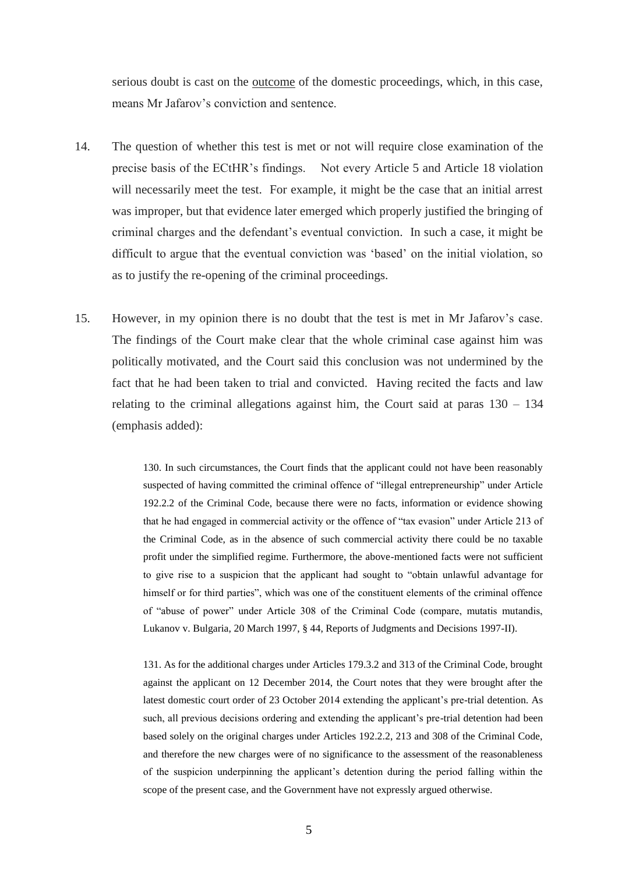serious doubt is cast on the outcome of the domestic proceedings, which, in this case, means Mr Jafarov's conviction and sentence.

- 14. The question of whether this test is met or not will require close examination of the precise basis of the ECtHR's findings. Not every Article 5 and Article 18 violation will necessarily meet the test. For example, it might be the case that an initial arrest was improper, but that evidence later emerged which properly justified the bringing of criminal charges and the defendant's eventual conviction. In such a case, it might be difficult to argue that the eventual conviction was 'based' on the initial violation, so as to justify the re-opening of the criminal proceedings.
- 15. However, in my opinion there is no doubt that the test is met in Mr Jafarov's case. The findings of the Court make clear that the whole criminal case against him was politically motivated, and the Court said this conclusion was not undermined by the fact that he had been taken to trial and convicted. Having recited the facts and law relating to the criminal allegations against him, the Court said at paras  $130 - 134$ (emphasis added):

130. In such circumstances, the Court finds that the applicant could not have been reasonably suspected of having committed the criminal offence of "illegal entrepreneurship" under Article 192.2.2 of the Criminal Code, because there were no facts, information or evidence showing that he had engaged in commercial activity or the offence of "tax evasion" under Article 213 of the Criminal Code, as in the absence of such commercial activity there could be no taxable profit under the simplified regime. Furthermore, the above-mentioned facts were not sufficient to give rise to a suspicion that the applicant had sought to "obtain unlawful advantage for himself or for third parties", which was one of the constituent elements of the criminal offence of "abuse of power" under Article 308 of the Criminal Code (compare, mutatis mutandis, Lukanov v. Bulgaria, 20 March 1997, § 44, Reports of Judgments and Decisions 1997-II).

131. As for the additional charges under Articles 179.3.2 and 313 of the Criminal Code, brought against the applicant on 12 December 2014, the Court notes that they were brought after the latest domestic court order of 23 October 2014 extending the applicant's pre-trial detention. As such, all previous decisions ordering and extending the applicant's pre-trial detention had been based solely on the original charges under Articles 192.2.2, 213 and 308 of the Criminal Code, and therefore the new charges were of no significance to the assessment of the reasonableness of the suspicion underpinning the applicant's detention during the period falling within the scope of the present case, and the Government have not expressly argued otherwise.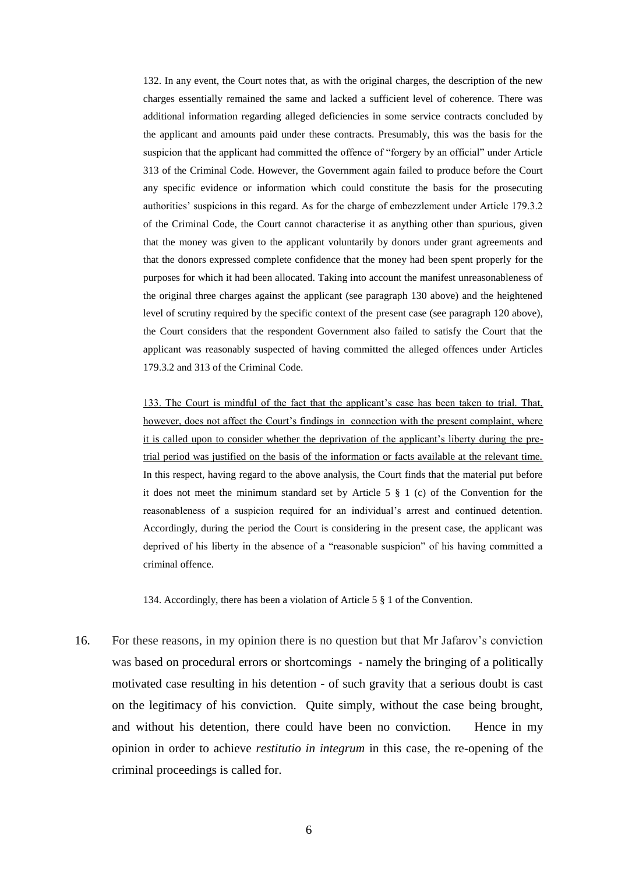132. In any event, the Court notes that, as with the original charges, the description of the new charges essentially remained the same and lacked a sufficient level of coherence. There was additional information regarding alleged deficiencies in some service contracts concluded by the applicant and amounts paid under these contracts. Presumably, this was the basis for the suspicion that the applicant had committed the offence of "forgery by an official" under Article 313 of the Criminal Code. However, the Government again failed to produce before the Court any specific evidence or information which could constitute the basis for the prosecuting authorities' suspicions in this regard. As for the charge of embezzlement under Article 179.3.2 of the Criminal Code, the Court cannot characterise it as anything other than spurious, given that the money was given to the applicant voluntarily by donors under grant agreements and that the donors expressed complete confidence that the money had been spent properly for the purposes for which it had been allocated. Taking into account the manifest unreasonableness of the original three charges against the applicant (see paragraph 130 above) and the heightened level of scrutiny required by the specific context of the present case (see paragraph 120 above), the Court considers that the respondent Government also failed to satisfy the Court that the applicant was reasonably suspected of having committed the alleged offences under Articles 179.3.2 and 313 of the Criminal Code.

133. The Court is mindful of the fact that the applicant's case has been taken to trial. That, however, does not affect the Court's findings in connection with the present complaint, where it is called upon to consider whether the deprivation of the applicant's liberty during the pretrial period was justified on the basis of the information or facts available at the relevant time. In this respect, having regard to the above analysis, the Court finds that the material put before it does not meet the minimum standard set by Article  $5 \nless 1$  (c) of the Convention for the reasonableness of a suspicion required for an individual's arrest and continued detention. Accordingly, during the period the Court is considering in the present case, the applicant was deprived of his liberty in the absence of a "reasonable suspicion" of his having committed a criminal offence.

134. Accordingly, there has been a violation of Article 5 § 1 of the Convention.

16. For these reasons, in my opinion there is no question but that Mr Jafarov's conviction was based on procedural errors or shortcomings - namely the bringing of a politically motivated case resulting in his detention - of such gravity that a serious doubt is cast on the legitimacy of his conviction. Quite simply, without the case being brought, and without his detention, there could have been no conviction. Hence in my opinion in order to achieve *restitutio in integrum* in this case, the re-opening of the criminal proceedings is called for.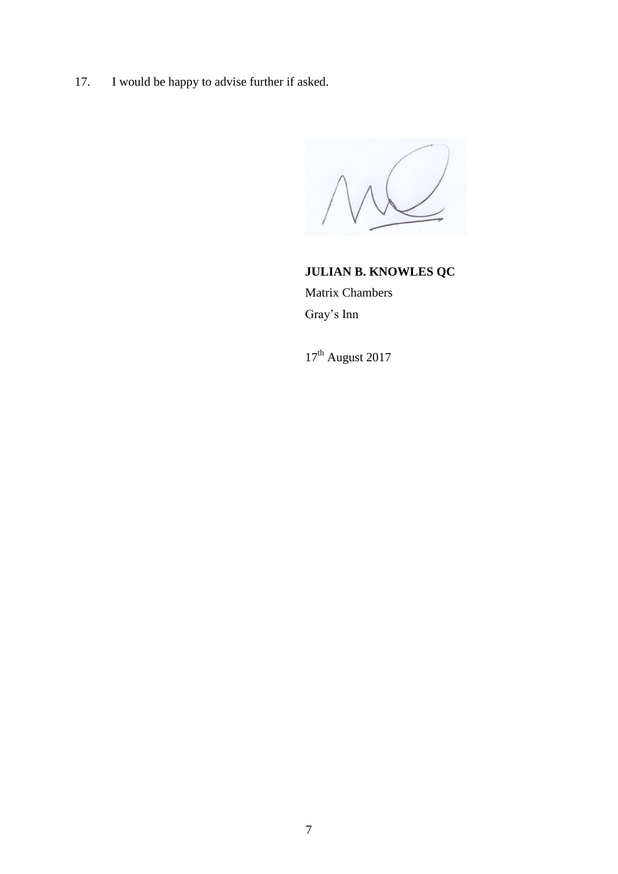17. I would be happy to advise further if asked.

**JULIAN B. KNOWLES QC** Matrix Chambers Gray's Inn

17<sup>th</sup> August 2017